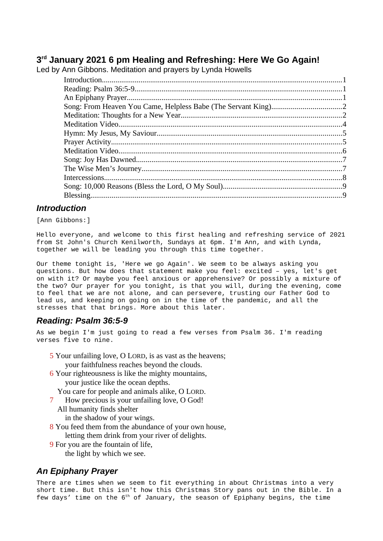## **3 rd January 2021 6 pm Healing and Refreshing: Here We Go Again!**

Led by Ann Gibbons. Meditation and prayers by Lynda Howells

## <span id="page-0-2"></span>*Introduction*

[Ann Gibbons:]

Hello everyone, and welcome to this first healing and refreshing service of 2021 from St John's Church Kenilworth, Sundays at 6pm. I'm Ann, and with Lynda, together we will be leading you through this time together.

Our theme tonight is, 'Here we go Again'. We seem to be always asking you questions. But how does that statement make you feel: excited – yes, let's get on with it? Or maybe you feel anxious or apprehensive? Or possibly a mixture of the two? Our prayer for you tonight, is that you will, during the evening, come to feel that we are not alone, and can persevere, trusting our Father God to lead us, and keeping on going on in the time of the pandemic, and all the stresses that that brings. More about this later.

## <span id="page-0-1"></span>*Reading: Psalm 36:5-9*

As we begin I'm just going to read a few verses from Psalm 36. I'm reading verses five to nine.

5 Your unfailing love, O LORD, is as vast as the heavens;

your faithfulness reaches beyond the clouds.

6 Your righteousness is like the mighty mountains, your justice like the ocean depths.

You care for people and animals alike, O LORD.

7 How precious is your unfailing love, O God! All humanity finds shelter

in the shadow of your wings.

- 8 You feed them from the abundance of your own house, letting them drink from your river of delights.
- 9 For you are the fountain of life, the light by which we see.

## <span id="page-0-0"></span>*An Epiphany Prayer*

There are times when we seem to fit everything in about Christmas into a very short time. But this isn't how this Christmas Story pans out in the Bible. In a few days' time on the  $6^{\text{th}}$  of January, the season of Epiphany begins, the time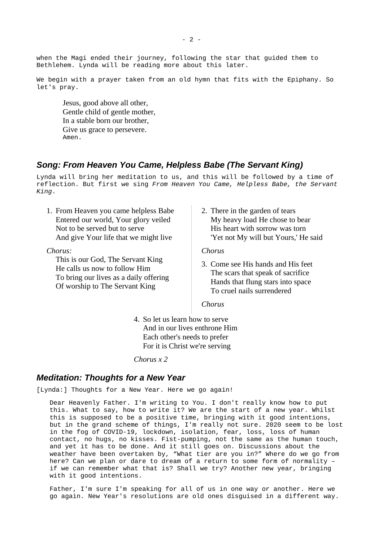when the Magi ended their journey, following the star that guided them to Bethlehem. Lynda will be reading more about this later.

We begin with a prayer taken from an old hymn that fits with the Epiphany. So let's pray.

Jesus, good above all other, Gentle child of gentle mother, In a stable born our brother, Give us grace to persevere. Amen.

## <span id="page-1-1"></span>*Song: From Heaven You Came, Helpless Babe (The Servant King)*

Lynda will bring her meditation to us, and this will be followed by a time of reflection. But first we sing *From Heaven You Came, Helpless Babe, the Servant King*.

1. From Heaven you came helpless Babe Entered our world, Your glory veiled Not to be served but to serve And give Your life that we might live

*Chorus:*

This is our God, The Servant King He calls us now to follow Him To bring our lives as a daily offering Of worship to The Servant King

2. There in the garden of tears My heavy load He chose to bear His heart with sorrow was torn 'Yet not My will but Yours,' He said

*Chorus*

3. Come see His hands and His feet The scars that speak of sacrifice Hands that flung stars into space To cruel nails surrendered

*Chorus*

4. So let us learn how to serve And in our lives enthrone Him Each other's needs to prefer For it is Christ we're serving

*Chorus x 2*

### <span id="page-1-0"></span>*Meditation: Thoughts for a New Year*

[Lynda:] Thoughts for a New Year. Here we go again!

Dear Heavenly Father. I'm writing to You. I don't really know how to put this. What to say, how to write it? We are the start of a new year. Whilst this is supposed to be a positive time, bringing with it good intentions, but in the grand scheme of things, I'm really not sure. 2020 seem to be lost in the fog of COVID-19, lockdown, isolation, fear, loss, loss of human contact, no hugs, no kisses. Fist-pumping, not the same as the human touch, and yet it has to be done. And it still goes on. Discussions about the weather have been overtaken by, "What tier are you in?" Where do we go from here? Can we plan or dare to dream of a return to some form of normality if we can remember what that is? Shall we try? Another new year, bringing with it good intentions.

Father, I'm sure I'm speaking for all of us in one way or another. Here we go again. New Year's resolutions are old ones disguised in a different way.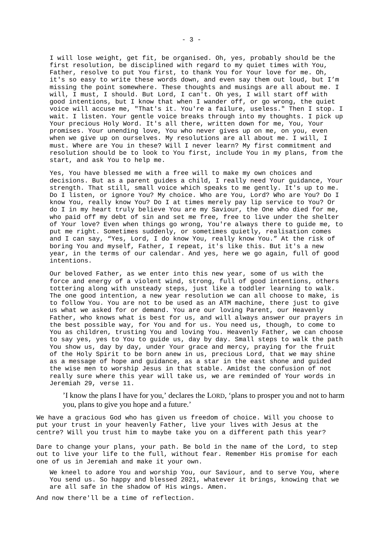I will lose weight, get fit, be organised. Oh, yes, probably should be the first resolution, be disciplined with regard to my quiet times with You, Father, resolve to put You first, to thank You for Your love for me. Oh, it's so easy to write these words down, and even say them out loud, but I'm missing the point somewhere. These thoughts and musings are all about me. I will, I must, I should. But Lord, I can't. Oh yes, I will start off with good intentions, but I know that when I wander off, or go wrong, the quiet voice will accuse me, "That's it. You're a failure, useless." Then I stop. I wait. I listen. Your gentle voice breaks through into my thoughts. I pick up Your precious Holy Word. It's all there, written down for me, You, Your promises. Your unending love, You who never gives up on me, on you, even when we give up on ourselves. My resolutions are all about me. I will, I must. Where are You in these? Will I never learn? My first commitment and resolution should be to look to You first, include You in my plans, from the start, and ask You to help me.

Yes, You have blessed me with a free will to make my own choices and decisions. But as a parent guides a child, I really need Your guidance, Your strength. That still, small voice which speaks to me gently. It's up to me. Do I listen, or ignore You? My choice. Who are You, Lord? Who are You? Do I know You, really know You? Do I at times merely pay lip service to You? Or do I in my heart truly believe You are my Saviour, the One who died for me, who paid off my debt of sin and set me free, free to live under the shelter of Your love? Even when things go wrong, You're always there to guide me, to put me right. Sometimes suddenly, or sometimes quietly, realisation comes and I can say, "Yes, Lord, I do know You, really know You." At the risk of boring You and myself, Father, I repeat, it's like this. But it's a new year, in the terms of our calendar. And yes, here we go again, full of good intentions.

Our beloved Father, as we enter into this new year, some of us with the force and energy of a violent wind, strong, full of good intentions, others tottering along with unsteady steps, just like a toddler learning to walk. The one good intention, a new year resolution we can all choose to make, is to follow You. You are not to be used as an ATM machine, there just to give us what we asked for or demand. You are our loving Parent, our Heavenly Father, who knows what is best for us, and will always answer our prayers in the best possible way, for You and for us. You need us, though, to come to You as children, trusting You and loving You. Heavenly Father, we can choose to say yes, yes to You to guide us, day by day. Small steps to walk the path You show us, day by day, under Your grace and mercy, praying for the fruit of the Holy Spirit to be born anew in us, precious Lord, that we may shine as a message of hope and guidance, as a star in the east shone and guided the wise men to worship Jesus in that stable. Amidst the confusion of not really sure where this year will take us, we are reminded of Your words in Jeremiah 29, verse 11.

'I know the plans I have for you,' declares the LORD, 'plans to prosper you and not to harm you, plans to give you hope and a future.'

We have a gracious God who has given us freedom of choice. Will you choose to put your trust in your heavenly Father, live your lives with Jesus at the centre? Will you trust him to maybe take you on a different path this year?

Dare to change your plans, your path. Be bold in the name of the Lord, to step out to live your life to the full, without fear. Remember His promise for each one of us in Jeremiah and make it your own.

We kneel to adore You and worship You, our Saviour, and to serve You, where You send us. So happy and blessed 2021, whatever it brings, knowing that we are all safe in the shadow of His wings. Amen.

And now there'll be a time of reflection.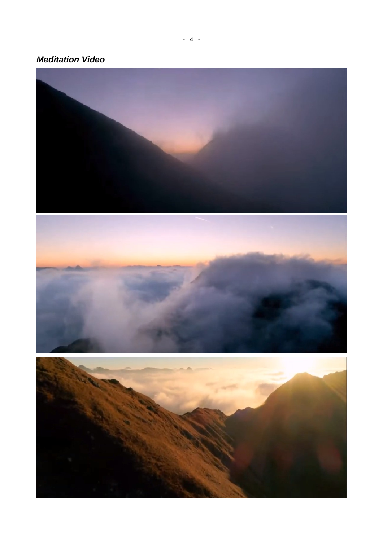# <span id="page-3-0"></span>*Meditation Video*





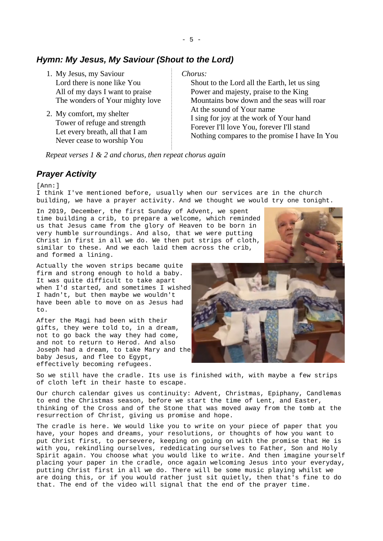# <span id="page-4-1"></span>*Hymn: My Jesus, My Saviour (Shout to the Lord)*

- 1. My Jesus, my Saviour Lord there is none like You All of my days I want to praise The wonders of Your mighty love
- 2. My comfort, my shelter Tower of refuge and strength Let every breath, all that I am Never cease to worship You

#### *Chorus:*

Shout to the Lord all the Earth, let us sing Power and majesty, praise to the King Mountains bow down and the seas will roar At the sound of Your name I sing for joy at the work of Your hand Forever I'll love You, forever I'll stand Nothing compares to the promise I have In You

*Repeat verses 1 & 2 and chorus, then repeat chorus again*

## <span id="page-4-0"></span>*Prayer Activity*

#### [Ann:]

I think I've mentioned before, usually when our services are in the church building, we have a prayer activity. And we thought we would try one tonight.

In 2019, December, the first Sunday of Advent, we spent time building a crib, to prepare a welcome, which reminded us that Jesus came from the glory of Heaven to be born in very humble surroundings. And also, that we were putting Christ in first in all we do. We then put strips of cloth, similar to these. And we each laid them across the crib, and formed a lining.



Actually the woven strips became quite firm and strong enough to hold a baby. It was quite difficult to take apart when I'd started, and sometimes I wished I hadn't, but then maybe we wouldn't have been able to move on as Jesus had to.

After the Magi had been with their gifts, they were told to, in a dream, not to go back the way they had come, and not to return to Herod. And also Joseph had a dream, to take Mary and the baby Jesus, and flee to Egypt, effectively becoming refugees.



So we still have the cradle. Its use is finished with, with maybe a few strips of cloth left in their haste to escape.

Our church calendar gives us continuity: Advent, Christmas, Epiphany, Candlemas to end the Christmas season, before we start the time of Lent, and Easter, thinking of the Cross and of the Stone that was moved away from the tomb at the resurrection of Christ, giving us promise and hope.

The cradle is here. We would like you to write on your piece of paper that you have, your hopes and dreams, your resolutions, or thoughts of how you want to put Christ first, to persevere, keeping on going on with the promise that He is with you, rekindling ourselves, rededicating ourselves to Father, Son and Holy Spirit again. You choose what you would like to write. And then imagine yourself placing your paper in the cradle, once again welcoming Jesus into your everyday, putting Christ first in all we do. There will be some music playing whilst we are doing this, or if you would rather just sit quietly, then that's fine to do that. The end of the video will signal that the end of the prayer time.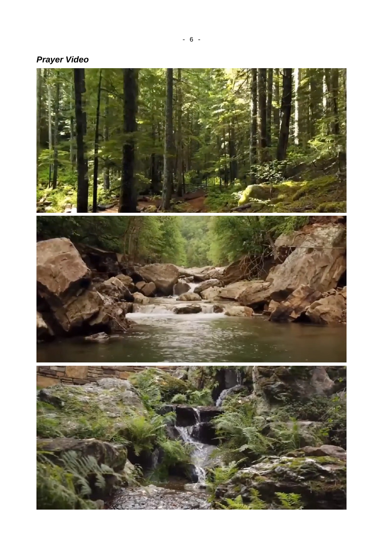<span id="page-5-0"></span>

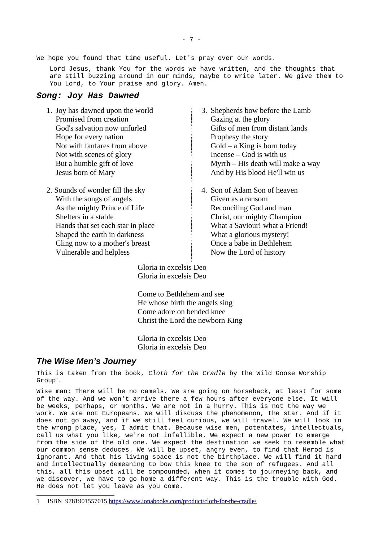We hope you found that time useful. Let's pray over our words.

Lord Jesus, thank You for the words we have written, and the thoughts that are still buzzing around in our minds, maybe to write later. We give them to You Lord, to Your praise and glory. Amen.

### <span id="page-6-1"></span>*Song: Joy Has Dawned*

- 1. Joy has dawned upon the world Promised from creation God's salvation now unfurled Hope for every nation Not with fanfares from above Not with scenes of glory But a humble gift of love Jesus born of Mary
- 2. Sounds of wonder fill the sky With the songs of angels As the mighty Prince of Life Shelters in a stable Hands that set each star in place Shaped the earth in darkness Cling now to a mother's breast Vulnerable and helpless
- 3. Shepherds bow before the Lamb Gazing at the glory Gifts of men from distant lands Prophesy the story Gold – a King is born today Incense – God is with us Myrrh – His death will make a way And by His blood He'll win us
- 4. Son of Adam Son of heaven Given as a ransom Reconciling God and man Christ, our mighty Champion What a Saviour! what a Friend! What a glorious mystery! Once a babe in Bethlehem Now the Lord of history

Gloria in excelsis Deo Gloria in excelsis Deo

Come to Bethlehem and see He whose birth the angels sing Come adore on bended knee Christ the Lord the newborn King

Gloria in excelsis Deo Gloria in excelsis Deo

## <span id="page-6-0"></span>*The Wise Men's Journey*

This is taken from the book, *Cloth for the Cradle* by the Wild Goose Worship  $Group<sup>1</sup>$  $Group<sup>1</sup>$  $Group<sup>1</sup>$ .

Wise man: There will be no camels. We are going on horseback, at least for some of the way. And we won't arrive there a few hours after everyone else. It will be weeks, perhaps, or months. We are not in a hurry. This is not the way we work. We are not Europeans. We will discuss the phenomenon, the star. And if it does not go away, and if we still feel curious, we will travel. We will look in the wrong place, yes, I admit that. Because wise men, potentates, intellectuals, call us what you like, we're not infallible. We expect a new power to emerge from the side of the old one. We expect the destination we seek to resemble what our common sense deduces. We will be upset, angry even, to find that Herod is ignorant. And that his living space is not the birthplace. We will find it hard and intellectually demeaning to bow this knee to the son of refugees. And all this, all this upset will be compounded, when it comes to journeying back, and we discover, we have to go home a different way. This is the trouble with God. He does not let you leave as you come.

<span id="page-6-2"></span><sup>1</sup> ISBN 9781901557015<https://www.ionabooks.com/product/cloth-for-the-cradle/>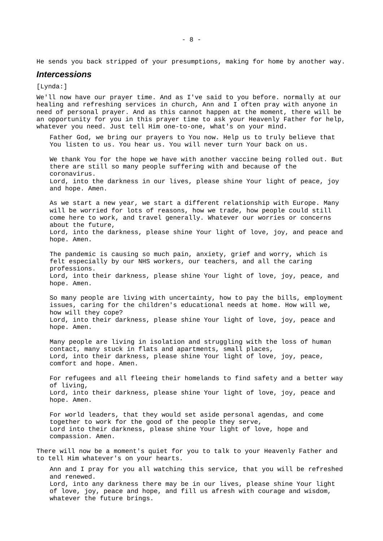He sends you back stripped of your presumptions, making for home by another way.

#### <span id="page-7-0"></span>*Intercessions*

[Lynda:]

We'll now have our prayer time. And as I've said to you before. normally at our healing and refreshing services in church, Ann and I often pray with anyone in need of personal prayer. And as this cannot happen at the moment, there will be an opportunity for you in this prayer time to ask your Heavenly Father for help, whatever you need. Just tell Him one-to-one, what's on your mind.

Father God, we bring our prayers to You now. Help us to truly believe that You listen to us. You hear us. You will never turn Your back on us.

We thank You for the hope we have with another vaccine being rolled out. But there are still so many people suffering with and because of the coronavirus. Lord, into the darkness in our lives, please shine Your light of peace, joy and hope. Amen.

As we start a new year, we start a different relationship with Europe. Many will be worried for lots of reasons, how we trade, how people could still come here to work, and travel generally. Whatever our worries or concerns about the future, Lord, into the darkness, please shine Your light of love, joy, and peace and hope. Amen.

The pandemic is causing so much pain, anxiety, grief and worry, which is felt especially by our NHS workers, our teachers, and all the caring professions. Lord, into their darkness, please shine Your light of love, joy, peace, and hope. Amen.

So many people are living with uncertainty, how to pay the bills, employment issues, caring for the children's educational needs at home. How will we, how will they cope? Lord, into their darkness, please shine Your light of love, joy, peace and hope. Amen.

Many people are living in isolation and struggling with the loss of human contact, many stuck in flats and apartments, small places, Lord, into their darkness, please shine Your light of love, joy, peace, comfort and hope. Amen.

For refugees and all fleeing their homelands to find safety and a better way of living, Lord, into their darkness, please shine Your light of love, joy, peace and hope. Amen.

For world leaders, that they would set aside personal agendas, and come together to work for the good of the people they serve, Lord into their darkness, please shine Your light of love, hope and compassion. Amen.

There will now be a moment's quiet for you to talk to your Heavenly Father and to tell Him whatever's on your hearts.

Ann and I pray for you all watching this service, that you will be refreshed and renewed. Lord, into any darkness there may be in our lives, please shine Your light of love, joy, peace and hope, and fill us afresh with courage and wisdom, whatever the future brings.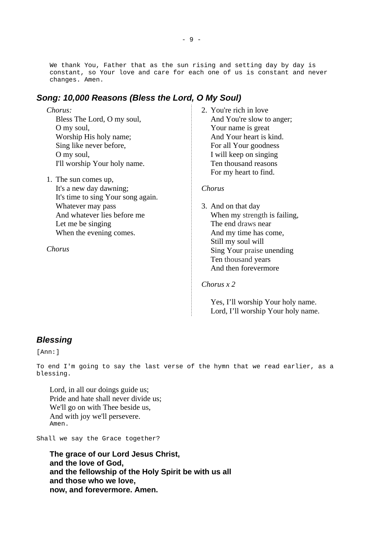We thank You, Father that as the sun rising and setting day by day is constant, so Your love and care for each one of us is constant and never changes. Amen.

# <span id="page-8-1"></span>*Song: 10,000 Reasons (Bless the Lord, O My Soul)*

| Chorus:                            | 2. You're rich in love            |
|------------------------------------|-----------------------------------|
| Bless The Lord, O my soul,         | And You're slow to anger;         |
| O my soul,                         | Your name is great                |
| Worship His holy name;             | And Your heart is kind.           |
| Sing like never before,            | For all Your goodness             |
| O my soul,                         | I will keep on singing            |
| I'll worship Your holy name.       | Ten thousand reasons              |
|                                    | For my heart to find.             |
| 1. The sun comes up,               |                                   |
| It's a new day dawning;            | Chorus                            |
| It's time to sing Your song again. |                                   |
| Whatever may pass                  | 3. And on that day                |
| And whatever lies before me        | When my strength is failing,      |
| Let me be singing                  | The end draws near                |
| When the evening comes.            | And my time has come,             |
|                                    | Still my soul will                |
| Chorus                             | Sing Your praise unending         |
|                                    | Ten thousand years                |
|                                    | And then forevermore              |
|                                    |                                   |
|                                    | Chorus $x$ 2                      |
|                                    | Yes, I'll worship Your holy name. |
|                                    |                                   |

## <span id="page-8-0"></span>*Blessing*

[Ann:]

To end I'm going to say the last verse of the hymn that we read earlier, as a blessing.

Lord, I'll worship Your holy name.

Lord, in all our doings guide us; Pride and hate shall never divide us; We'll go on with Thee beside us, And with joy we'll persevere. Amen.

Shall we say the Grace together?

**The grace of our Lord Jesus Christ, and the love of God, and the fellowship of the Holy Spirit be with us all and those who we love, now, and forevermore. Amen.**